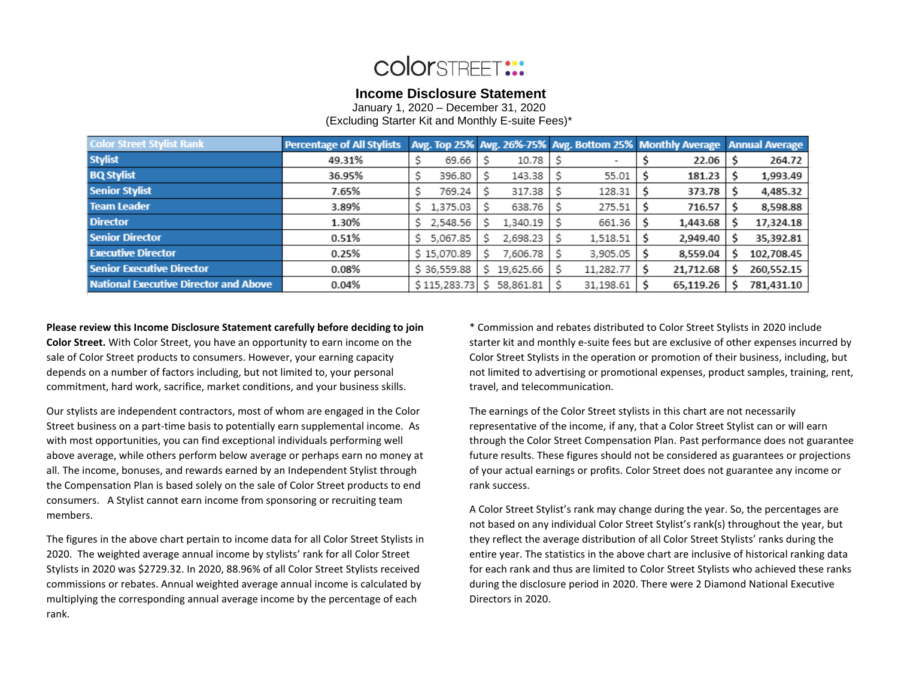# **COIORSTREET:::**

### **Income Disclosure Statement**

January 1, 2020 – December 31, 2020

(Excluding Starter Kit and Monthly E-suite Fees)\*

| <b>Color Street Stylist Rank</b>             | <b>Percentage of All Stylists</b> |                |    |           |           | Avg. Top 25% Avg. 26%-75% Avg. Bottom 25% Monthly Average Annual Average |            |
|----------------------------------------------|-----------------------------------|----------------|----|-----------|-----------|--------------------------------------------------------------------------|------------|
| <b>Stylist</b>                               | 49.31%                            | 69.66          |    | 10.78     |           | 22.06                                                                    | 264.72     |
| <b>BQ Stylist</b>                            | 36.95%                            | 396.80         |    | 143.38    | 55.01     | 181.23                                                                   | 1,993.49   |
| <b>Senior Stylist</b>                        | 7.65%                             | 769.24         |    | 317.38    | 128.31    | 373.78                                                                   | 4,485.32   |
| <b>Team Leader</b>                           | 3.89%                             | 1,375.03       |    | 638.76    | 275.51    | 716.57                                                                   | 8,598.88   |
| <b>Director</b>                              | 1.30%                             | 2,548.56       |    | 1,340.19  | 661.36    | 1,443.68                                                                 | 17,324.18  |
| <b>Senior Director</b>                       | 0.51%                             | 5,067.85<br>S. |    | 2,698.23  | 1,518.51  | 2,949.40                                                                 | 35,392.81  |
| <b>Executive Director</b>                    | 0.25%                             | \$15,070.89    |    | 7,606.78  | 3,905.05  | 8,559.04                                                                 | 102,708.45 |
| <b>Senior Executive Director</b>             | 0.08%                             | \$36,559.88    | S  | 19,625.66 | 11,282.77 | 21,712.68                                                                | 260,552.15 |
| <b>National Executive Director and Above</b> | 0.04%                             | \$115,283.73   | Ś. | 58,861.81 | 31,198.61 | 65,119.26                                                                | 781,431.10 |

#### **Please review this Income Disclosure Statement carefully before deciding to join**

**Color Street.** With Color Street, you have an opportunity to earn income on the sale of Color Street products to consumers. However, your earning capacity depends on a number of factors including, but not limited to, your personal commitment, hard work, sacrifice, market conditions, and your business skills.

Our stylists are independent contractors, most of whom are engaged in the Color Street business on a part-time basis to potentially earn supplemental income. As with most opportunities, you can find exceptional individuals performing well above average, while others perform below average or perhaps earn no money at all. The income, bonuses, and rewards earned by an Independent Stylist through the Compensation Plan is based solely on the sale of Color Street products to end consumers. A Stylist cannot earn income from sponsoring or recruiting team members.

The figures in the above chart pertain to income data for all Color Street Stylists in 2020. The weighted average annual income by stylists' rank for all Color Street Stylists in 2020 was \$2729.32. In 2020, 88.96% of all Color Street Stylists received commissions or rebates. Annual weighted average annual income is calculated by multiplying the corresponding annual average income by the percentage of each rank.

\* Commission and rebates distributed to Color Street Stylists in 2020 include starter kit and monthly e-suite fees but are exclusive of other expenses incurred by Color Street Stylists in the operation or promotion of their business, including, but not limited to advertising or promotional expenses, product samples, training, rent, travel, and telecommunication.

The earnings of the Color Street stylists in this chart are not necessarily representative of the income, if any, that a Color Street Stylist can or will earn through the Color Street Compensation Plan. Past performance does not guarantee future results. These figures should not be considered as guarantees or projections of your actual earnings or profits. Color Street does not guarantee any income or rank success.

A Color Street Stylist's rank may change during the year. So, the percentages are not based on any individual Color Street Stylist's rank(s) throughout the year, but they reflect the average distribution of all Color Street Stylists' ranks during the entire year. The statistics in the above chart are inclusive of historical ranking data for each rank and thus are limited to Color Street Stylists who achieved these ranks during the disclosure period in 2020. There were 2 Diamond National Executive Directors in 2020.